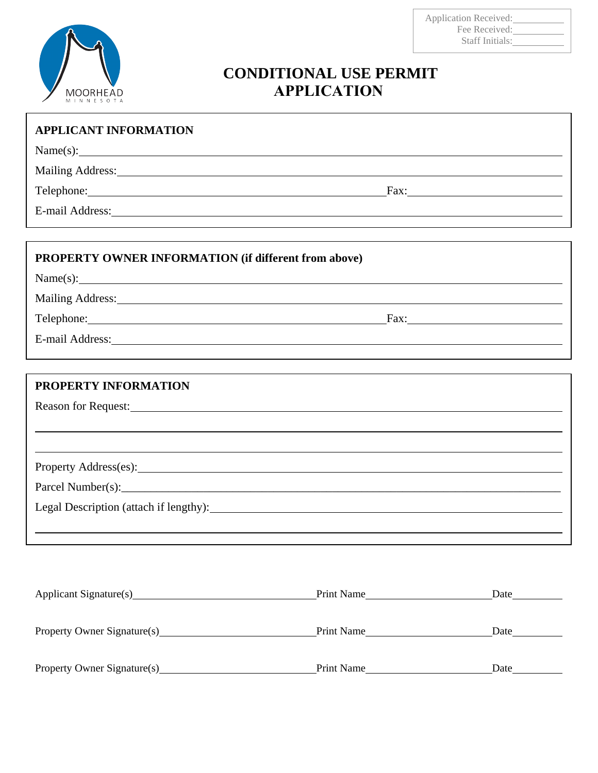

## **CONDITIONAL USE PERMIT APPLICATION**

| <b>APPLICANT INFORMATION</b>                                                                                                                                                                                                   |      |
|--------------------------------------------------------------------------------------------------------------------------------------------------------------------------------------------------------------------------------|------|
| Name(s):                                                                                                                                                                                                                       |      |
| Mailing Address: 1988 and 2008 and 2008 and 2008 and 2008 and 2008 and 2008 and 2008 and 2008 and 2008 and 200                                                                                                                 |      |
| Telephone: Fax: Fax:                                                                                                                                                                                                           |      |
| E-mail Address: Note and Address and Address and Address and Address and Address and Address and Address and Address and Address and Address and Address and Address and Address and Address and Address and Address and Addre |      |
|                                                                                                                                                                                                                                |      |
| <b>PROPERTY OWNER INFORMATION (if different from above)</b>                                                                                                                                                                    |      |
| $Name(s):$ $\qquad \qquad$                                                                                                                                                                                                     |      |
|                                                                                                                                                                                                                                |      |
| Telephone: Fax: Fax:                                                                                                                                                                                                           |      |
| E-mail Address: No. 1996. The Contract of the Contract of the Contract of the Contract of the Contract of the Contract of the Contract of the Contract of the Contract of the Contract of the Contract of the Contract of the  |      |
|                                                                                                                                                                                                                                |      |
| PROPERTY INFORMATION                                                                                                                                                                                                           |      |
|                                                                                                                                                                                                                                |      |
|                                                                                                                                                                                                                                |      |
|                                                                                                                                                                                                                                |      |
|                                                                                                                                                                                                                                |      |
|                                                                                                                                                                                                                                |      |
| Legal Description (attach if lengthy): Manual Manual Manual Manual Manual Manual Manual Manual Manual Manual Ma                                                                                                                |      |
|                                                                                                                                                                                                                                |      |
|                                                                                                                                                                                                                                |      |
|                                                                                                                                                                                                                                |      |
| Applicant Signature(s) Print Name                                                                                                                                                                                              | Date |
| Property Owner Signature(s) Print Name Print Name                                                                                                                                                                              |      |

Property Owner Signature(s) Print Name Print Name Date